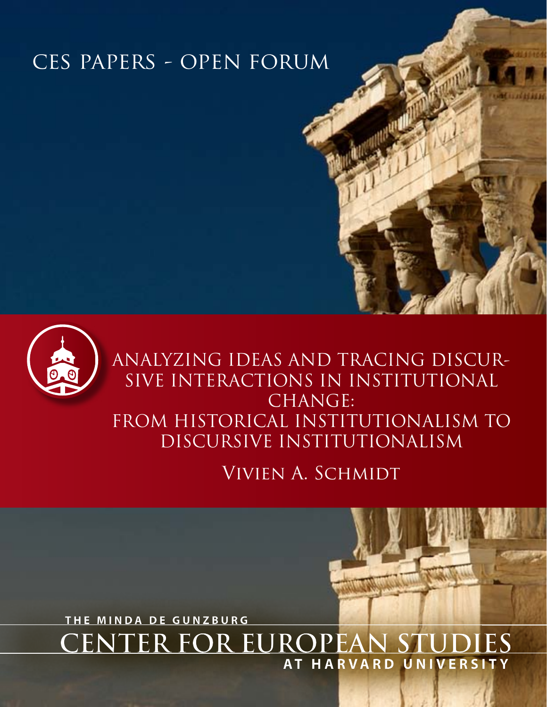# ces papers - open forum



Vivien A. Schmidt

**CENTER FOR EU THE MINDA DE GUNZBURG AT HARVARD UNIVERSITY**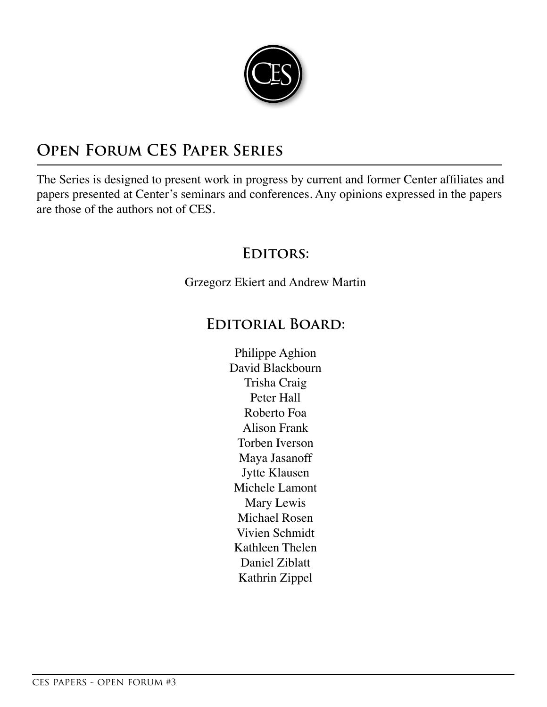

# **Open Forum CES Paper Series**

The Series is designed to present work in progress by current and former Center affiliates and papers presented at Center's seminars and conferences. Any opinions expressed in the papers are those of the authors not of CES.

# **Editors:**

Grzegorz Ekiert and Andrew Martin

## **Editorial Board:**

Philippe Aghion David Blackbourn Trisha Craig Peter Hall Roberto Foa Alison Frank Torben Iverson Maya Jasanoff Jytte Klausen Michele Lamont Mary Lewis Michael Rosen Vivien Schmidt Kathleen Thelen Daniel Ziblatt Kathrin Zippel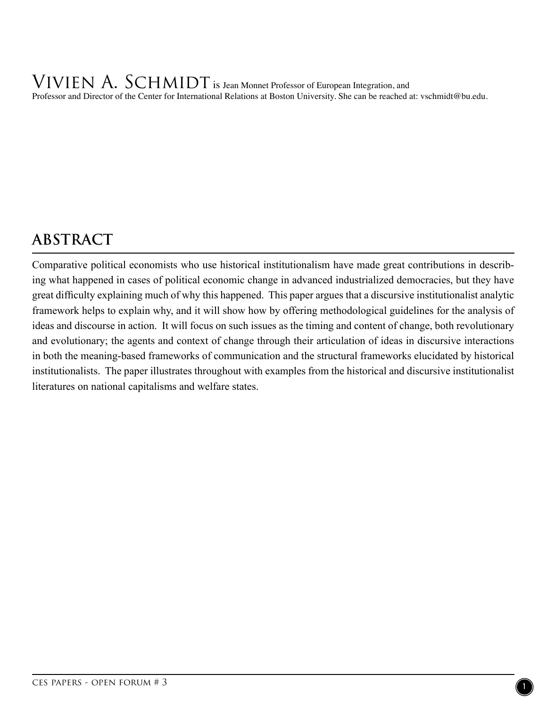VIVIEN A. SCHMIDT is Jean Monnet Professor of European Integration, and Professor and Director of the Center for International Relations at Boston University. She can be reached at: vschmidt@bu.edu.

# **ABSTRACT**

Comparative political economists who use historical institutionalism have made great contributions in describing what happened in cases of political economic change in advanced industrialized democracies, but they have great difficulty explaining much of why this happened. This paper argues that a discursive institutionalist analytic framework helps to explain why, and it will show how by offering methodological guidelines for the analysis of ideas and discourse in action. It will focus on such issues as the timing and content of change, both revolutionary and evolutionary; the agents and context of change through their articulation of ideas in discursive interactions in both the meaning-based frameworks of communication and the structural frameworks elucidated by historical institutionalists. The paper illustrates throughout with examples from the historical and discursive institutionalist literatures on national capitalisms and welfare states.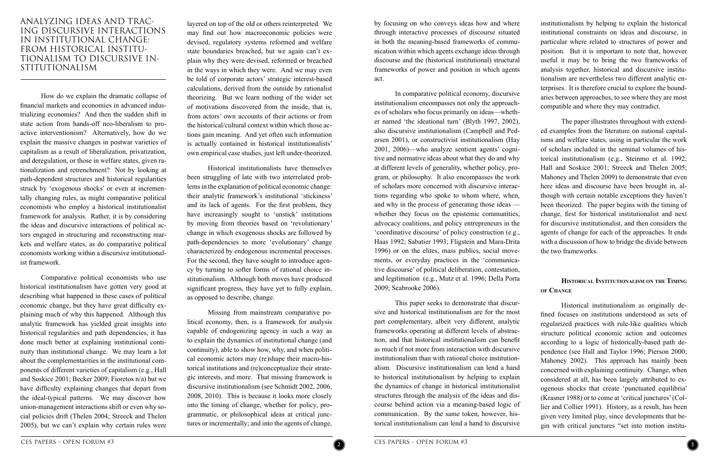institutionalism by helping to explain the historical institutional constraints on ideas and discourse, in particular where related to structures of power and position. But it is important to note that, however useful it may be to bring the two frameworks of analysis together, historical and discursive institutionalism are nevertheless two different analytic enterprises. It is therefore crucial to explore the boundaries between approaches, to see where they are most compatible and where they may contradict.

The paper illustrates throughout with extended examples from the literature on national capitalisms and welfare states, using in particular the work of scholars included in the seminal volumes of historical institutionalism (e.g., Steinmo et al. 1992; Hall and Soskice 2001; Streeck and Thelen 2005; Mahoney and Thelen 2009) to demonstrate that even here ideas and discourse have been brought in, although with certain notable exceptions they haven't been theorized. The paper begins with the timing of change, first for historical institutionalist and next for discursive institutionalist, and then considers the agents of change for each of the approaches. It ends with a discussion of how to bridge the divide between the two frameworks.

#### **Historical Institutionalism on the Timing of Change**

Historical institutionalism as originally defined focuses on institutions understood as sets of regularized practices with rule-like qualities which structure political economic action and outcomes according to a logic of historically-based path dependence (see Hall and Taylor 1996; Pierson 2000; Mahoney 2002). This approach has mainly been concerned with explaining continuity. Change, when considered at all, has been largely attributed to exogenous shocks that create 'punctuated equilibria' (Krasner 1988) or to come at 'critical junctures' (Collier and Collier 1991). History, as a result, has been given very limited play, since developments that begin with critical junctures "set into motion institu-

by focusing on who conveys ideas how and where through interactive processes of discourse situated in both the meaning-based frameworks of communication within which agents exchange ideas through discourse and the (historical institutional) structural frameworks of power and position in which agents act.

In comparative political economy, discursive institutionalism encompasses not only the approaches of scholars who focus primarily on ideas—whether named 'the ideational turn' (Blyth 1997, 2002), also discursive institutionalism (Campbell and Pedersen 2001), or constructivist institutionalism (Hay 2001, 2006)—who analyze sentient agents' cognitive and normative ideas about what they do and why at different levels of generality, whether policy, program, or philosophy. It also encompasses the work of scholars more concerned with discursive interactions regarding who spoke to whom where, when, and why in the process of generating those ideas whether they focus on the epistemic communities, advocacy coalitions, and policy entrepreneurs in the 'coordinative discourse' of policy construction (e.g., Haas 1992; Sabatier 1993; Fligstein and Mara-Drita 1996) or on the elites, mass publics, social movements, or everyday practices in the 'communicative discourse' of political deliberation, contestation, and legitimation (e.g., Mutz et al. 1996; Della Porta 2009; Seabrooke 2006).

This paper seeks to demonstrate that discursive and historical institutionalism are for the most part complementary, albeit very different, analytic frameworks operating at different levels of abstraction, and that historical institutionalism can benefit as much if not more from interaction with discursive institutionalism than with rational choice institutionalism. Discursive institutionalism can lend a hand to historical institutionalism by helping to explain the dynamics of change in historical institutionalist structures through the analysis of the ideas and discourse behind action via a meaning-based logic of communication. By the same token, however, historical institutionalism can lend a hand to discursive



### ANALYZING IDEAS AND TRAC-ING DISCURSIVE INTERACTIONS IN INSTITUTIONAL CHANGE: FROM HISTORICAL INSTITU-TIONALISM TO DISCURSIVE IN-STITUTIONALISM

How do we explain the dramatic collapse of financial markets and economies in advanced industrializing economies? And then the sudden shift in state action from hands-off neo-liberalism to proactive interventionism? Alternatively, how do we explain the massive changes in postwar varieties of capitalism as a result of liberalization, privatization, and deregulation, or those in welfare states, given rationalization and retrenchment? Not by looking at path-dependent structures and historical regularities struck by 'exogenous shocks' or even at incrementally changing rules, as might comparative political economists who employ a historical institutionalist framework for analysis. Rather, it is by considering the ideas and discursive interactions of political actors engaged in structuring and reconstructing markets and welfare states, as do comparative political economists working within a discursive institutionalist framework.

Comparative political economists who use historical institutionalism have gotten very good at describing what happened in these cases of political economic change, but they have great difficulty explaining much of why this happened. Although this analytic framework has yielded great insights into historical regularities and path dependencies, it has done much better at explaining institutional continuity than institutional change. We may learn a lot about the complementarities in the institutional components of different varieties of capitalism (e.g., Hall and Soskice 2001; Becker 2009; Fioretos n/a) but we have difficulty explaining changes that depart from the ideal-typical patterns. We may discover how union-management interactions shift or even why social policies drift (Thelen 2004; Streeck and Thelen 2005), but we can't explain why certain rules were layered on top of the old or others reinterpreted. We may find out how macroeconomic policies were devised, regulatory systems reformed and welfare state boundaries breached, but we again can't explain why they were devised, reformed or breached in the ways in which they were. And we may even be told of corporate actors' strategic interest-based calculations, derived from the outside by rationalist theorizing. But we learn nothing of the wider set of motivations discovered from the inside, that is, from actors' own accounts of their actions or from the historical/cultural context within which those actions gain meaning. And yet often such information is actually contained in historical institutionalists' own empirical case studies, just left under-theorized.

Historical institutionalists have themselves been struggling of late with two interrelated problems in the explanation of political economic change: their analytic framework's institutional 'stickiness' and its lack of agents. For the first problem, they have increasingly sought to 'unstick' institutions by moving from theories based on 'revolutionary' change in which exogenous shocks are followed by path-dependencies to more 'evolutionary' change characterized by endogenous incremental processes. For the second, they have sought to introduce agency by turning to softer forms of rational choice institutionalism. Although both moves have produced significant progress, they have yet to fully explain, as opposed to describe, change.

Missing from mainstream comparative political economy, then, is a framework for analysis capable of endogenizing agency in such a way as to explain the dynamics of institutional change (and continuity), able to show how, why, and when political economic actors may (re)shape their macro-historical institutions and (re)conceptualize their strategic interests, and more. That missing framework is discursive institutionalism (see Schmidt 2002, 2006, 2008, 2010). This is because it looks more closely into the timing of change, whether for policy, programmatic, or philosophical ideas at critical junctures or incrementally; and into the agents of change,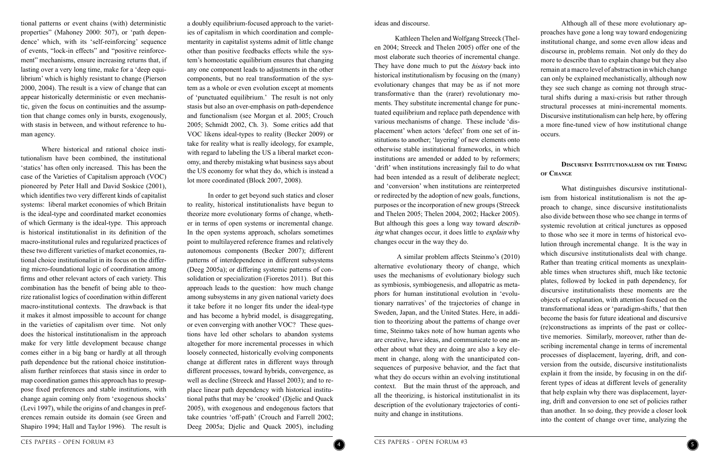

Although all of these more evolutionary approaches have gone a long way toward endogenizing institutional change, and some even allow ideas and discourse in, problems remain. Not only do they do more to describe than to explain change but they also remain at a macro level of abstraction in which change can only be explained mechanistically, although now they see such change as coming not through structural shifts during a maxi-crisis but rather through structural processes at mini-incremental moments. Discursive institutionalism can help here, by offering a more fine-tuned view of how institutional change occurs.

#### **Discursive Institutionalism on the Timing of Change**

What distinguishes discursive institutionalism from historical institutionalism is not the approach to change, since discursive institutionalists also divide between those who see change in terms of systemic revolution at critical junctures as opposed to those who see it more in terms of historical evolution through incremental change. It is the way in which discursive institutionalists deal with change. Rather than treating critical moments as unexplainable times when structures shift, much like tectonic plates, followed by locked in path dependency, for discursive institutionalists these moments are the objects of explanation, with attention focused on the transformational ideas or 'paradigm-shifts,' that then become the basis for future ideational and discursive (re)constructions as imprints of the past or collective memories. Similarly, moreover, rather than describing incremental change in terms of incremental processes of displacement, layering, drift, and conversion from the outside, discursive institutionalists explain it from the inside, by focusing in on the different types of ideas at different levels of generality that help explain why there was displacement, layering, drift and conversion to one set of policies rather than another. In so doing, they provide a closer look into the content of change over time, analyzing the

ideas and discourse.

Kathleen Thelen and Wolfgang Streeck (Thelen 2004; Streeck and Thelen 2005) offer one of the most elaborate such theories of incremental change. They have done much to put the *history* back into historical institutionalism by focusing on the (many) evolutionary changes that may be as if not more transformative than the (rarer) revolutionary moments. They substitute incremental change for punctuated equilibrium and replace path dependence with various mechanisms of change. These include 'displacement' when actors 'defect' from one set of institutions to another; 'layering' of new elements onto otherwise stable institutional frameworks, in which institutions are amended or added to by reformers; 'drift' when institutions increasingly fail to do what had been intended as a result of deliberate neglect; and 'conversion' when institutions are reinterpreted or redirected by the adoption of new goals, functions, purposes or the incorporation of new groups (Streeck and Thelen 2005; Thelen 2004, 2002; Hacker 2005). But although this goes a long way toward *describ*ing what changes occur, it does little to explain why changes occur in the way they do.

 A similar problem affects Steinmo's (2010) alternative evolutionary theory of change, which uses the mechanisms of evolutionary biology such as symbiosis, symbiogenesis, and allopatric as metaphors for human institutional evolution in 'evolutionary narratives' of the trajectories of change in Sweden, Japan, and the United States. Here, in addition to theorizing about the patterns of change over time, Steinmo takes note of how human agents who are creative, have ideas, and communicate to one another about what they are doing are also a key element in change, along with the unanticipated consequences of purposive behavior, and the fact that what they do occurs within an evolving institutional context. But the main thrust of the approach, and all the theorizing, is historical institutionalist in its description of the evolutionary trajectories of continuity and change in institutions.

a doubly equilibrium-focused approach to the varieties of capitalism in which coordination and complementarity in capitalist systems admit of little change other than positive feedbacks effects while the system's homeostatic equilibrium ensures that changing any one component leads to adjustments in the other components, but no real transformation of the system as a whole or even evolution except at moments of 'punctuated equilibrium.' The result is not only stasis but also an over-emphasis on path-dependence and functionalism (see Morgan et al. 2005; Crouch 2005; Schmidt 2002, Ch. 3). Some critics add that VOC likens ideal-types to reality (Becker 2009) or take for reality what is really ideology, for example, with regard to labeling the US a liberal market economy, and thereby mistaking what business says about the US economy for what they do, which is instead a lot more coordinated (Block 2007, 2008).

In order to get beyond such statics and closer to reality, historical institutionalists have begun to theorize more evolutionary forms of change, whether in terms of open systems or incremental change. In the open systems approach, scholars sometimes point to multilayered reference frames and relatively autonomous components (Becker 2007); different patterns of interdependence in different subsystems (Deeg 2005a); or differing systemic patterns of consolidation or specialization (Fioretos 2011). But this approach leads to the question: how much change among subsystems in any given national variety does it take before it no longer fits under the ideal-type and has become a hybrid model, is disaggregating, or even converging with another VOC? These questions have led other scholars to abandon systems altogether for more incremental processes in which loosely connected, historically evolving components change at different rates in different ways through different processes, toward hybrids, convergence, as well as decline (Streeck and Hassel 2003); and to replace linear path dependency with historical institutional paths that may be 'crooked' (Djelic and Quack 2005), with exogenous and endogenous factors that take countries 'off-path' (Crouch and Farrell 2002; Deeg 2005a; Djelic and Quack 2005), including

tional patterns or event chains (with) deterministic properties" (Mahoney 2000: 507), or 'path dependence' which, with its 'self-reinforcing' sequence of events, "lock-in effects" and "positive reinforcement" mechanisms, ensure increasing returns that, if lasting over a very long time, make for a 'deep equilibrium' which is highly resistant to change (Pierson 2000, 2004). The result is a view of change that can appear historically deterministic or even mechanistic, given the focus on continuities and the assumption that change comes only in bursts, exogenously, with stasis in between, and without reference to human agency.

Where historical and rational choice institutionalism have been combined, the institutional 'statics' has often only increased. This has been the case of the Varieties of Capitalism approach (VOC) pioneered by Peter Hall and David Soskice (2001), which identifies two very different kinds of capitalist systems: liberal market economies of which Britain is the ideal-type and coordinated market economies of which Germany is the ideal-type. This approach is historical institutionalist in its definition of the macro-institutional rules and regularized practices of these two different varieties of market economies, rational choice institutionalist in its focus on the differing micro-foundational logic of coordination among firms and other relevant actors of each variety. This combination has the benefit of being able to theorize rationalist logics of coordination within different macro-institutional contexts. The drawback is that it makes it almost impossible to account for change in the varieties of capitalism over time. Not only does the historical institutionalism in the approach make for very little development because change comes either in a big bang or hardly at all through path dependence but the rational choice institutionalism further reinforces that stasis since in order to map coordination games this approach has to presuppose fixed preferences and stable institutions, with change again coming only from 'exogenous shocks' (Levi 1997), while the origins of and changes in preferences remain outside its domain (see Green and Shapiro 1994; Hall and Taylor 1996). The result is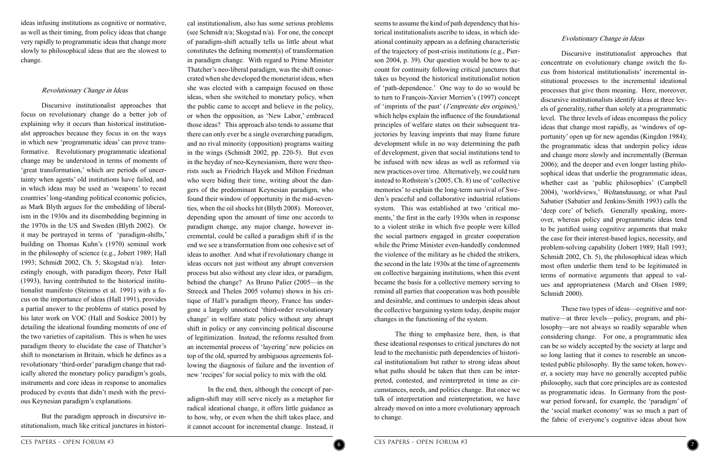#### Evolutionary Change in Ideas

Discursive institutionalist approaches that concentrate on evolutionary change switch the focus from historical institutionalists' incremental institutional processes to the incremental ideational processes that give them meaning. Here, moreover, discursive institutionalists identify ideas at three levels of generality, rather than solely at a programmatic level. The three levels of ideas encompass the policy ideas that change most rapidly, as 'windows of opportunity' open up for new agendas (Kingdon 1984); the programmatic ideas that underpin policy ideas and change more slowly and incrementally (Berman 2006); and the deeper and even longer lasting philosophical ideas that underlie the programmatic ideas, whether cast as 'public philosophies' (Campbell 2004), 'worldviews,' Weltanshauung, or what Paul Sabatier (Sabatier and Jenkins-Smith 1993) calls the 'deep core' of beliefs. Generally speaking, moreover, whereas policy and programmatic ideas tend to be justified using cognitive arguments that make the case for their interest-based logics, necessity, and problem-solving capability (Jobert 1989; Hall 1993; Schmidt 2002, Ch. 5), the philosophical ideas which most often underlie them tend to be legitimated in terms of normative arguments that appeal to values and appropriateness (March and Olsen 1989; Schmidt 2000).

These two types of ideas—cognitive and normative—at three levels—policy, program, and philosophy—are not always so readily separable when considering change. For one, a programmatic idea can be so widely accepted by the society at large and so long lasting that it comes to resemble an uncontested public philosophy. By the same token, however, a society may have no generally accepted public philosophy, such that core principles are as contested as programmatic ideas. In Germany from the postwar period forward, for example, the 'paradigm' of the 'social market economy' was so much a part of the fabric of everyone's cognitive ideas about how

seems to assume the kind of path dependency that historical institutionalists ascribe to ideas, in which ideational continuity appears as a defining characteristic of the trajectory of post-crisis institutions (e.g., Pierson 2004, p. 39). Our question would be how to account for continuity following critical junctures that takes us beyond the historical institutionalist notion of 'path-dependence.' One way to do so would be to turn to François-Xavier Merrien's (1997) concept of 'imprints of the past' (*l'empreinte des origines*), $\frac{1}{2}$ which helps explain the influence of the foundational principles of welfare states on their subsequent trajectories by leaving imprints that may frame future development while in no way determining the path of development, given that social institutions tend to be infused with new ideas as well as reformed via new practices over time. Alternatively, we could turn instead to Rothstein's (2005, Ch. 8) use of 'collective memories' to explain the long-term survival of Sweden's peaceful and collaborative industrial relations system. This was established at two 'critical moments,' the first in the early 1930s when in response to a violent strike in which five people were killed the social partners engaged in greater cooperation while the Prime Minister even-handedly condemned the violence of the military as he chided the strikers, the second in the late 1930s at the time of agreements on collective bargaining institutions, when this event became the basis for a collective memory serving to remind all parties that cooperation was both possible and desirable, and continues to underpin ideas about the collective bargaining system today, despite major changes in the functioning of the system.

The thing to emphasize here, then, is that these ideational responses to critical junctures do not lead to the mechanistic path dependencies of historical institutionalism but rather to strong ideas about what paths should be taken that then can be interpreted, contested, and reinterpreted in time as circumstances, needs, and politics change. But once we talk of interpretation and reinterpretation, we have already moved on into a more evolutionary approach to change.



cal institutionalism, also has some serious problems (see Schmidt n/a; Skogstad n/a). For one, the concept of paradigm-shift actually tells us little about what constitutes the defining moment(s) of transformation in paradigm change. With regard to Prime Minister Thatcher's neo-liberal paradigm, was the shift consecrated when she developed the monetarist ideas, when she was elected with a campaign focused on those ideas, when she switched to monetary policy, when the public came to accept and believe in the policy, or when the opposition, as 'New Labor,' embraced those ideas? This approach also tends to assume that there can only ever be a single overarching paradigm, and no rival minority (opposition) programs waiting in the wings (Schmidt 2002, pp. 220-5). But even in the heyday of neo-Keynesianism, there were theorists such as Friedrich Hayek and Milton Friedman who were biding their time, writing about the dangers of the predominant Keynesian paradigm, who found their window of opportunity in the mid-seventies, when the oil shocks hit (Blyth 2008). Moreover, depending upon the amount of time one accords to paradigm change, any major change, however incremental, could be called a paradigm shift if in the end we see a transformation from one cohesive set of ideas to another. And what if revolutionary change in ideas occurs not just without any abrupt conversion process but also without any clear idea, or paradigm, behind the change? As Bruno Palier (2005—in the Streeck and Thelen 2005 volume) shows in his critique of Hall's paradigm theory, France has undergone a largely unnoticed 'third-order revolutionary change' in welfare state policy without any abrupt shift in policy or any convincing political discourse of legitimization. Instead, the reforms resulted from an incremental process of 'layering' new policies on top of the old, spurred by ambiguous agreements following the diagnosis of failure and the invention of new 'recipes' for social policy to mix with the old.

In the end, then, although the concept of paradigm-shift may still serve nicely as a metaphor for radical ideational change, it offers little guidance as to how, why, or even when the shift takes place, and it cannot account for incremental change. Instead, it

ideas infusing institutions as cognitive or normative, as well as their timing, from policy ideas that change very rapidly to programmatic ideas that change more slowly to philosophical ideas that are the slowest to change.

#### Revolutionary Change in Ideas

Discursive institutionalist approaches that focus on revolutionary change do a better job of explaining why it occurs than historical institutionalst approaches because they focus in on the ways in which new 'programmatic ideas' can prove transformative. Revolutionary programmatic ideational change may be understood in terms of moments of 'great transformation,' which are periods of uncertainty when agents' old institutions have failed, and in which ideas may be used as 'weapons' to recast countries' long-standing political economic policies, as Mark Blyth argues for the embedding of liberalism in the 1930s and its disembedding beginning in the 1970s in the US and Sweden (Blyth 2002). Or it may be portrayed in terms of 'paradigm-shifts,' building on Thomas Kuhn's (1970) seminal work in the philosophy of science (e.g., Jobert 1989; Hall 1993; Schmidt 2002, Ch. 5; Skogstad n/a). Interestingly enough, with paradigm theory, Peter Hall (1993), having contributed to the historical institutionalist manifesto (Steinmo et al. 1991) with a focus on the importance of ideas (Hall 1991), provides a partial answer to the problems of statics posed by his later work on VOC (Hall and Soskice 2001) by detailing the ideational founding moments of one of the two varieties of capitalism. This is when he uses paradigm theory to elucidate the case of Thatcher's shift to monetarism in Britain, which he defines as a revolutionary 'third-order' paradigm change that radically altered the monetary policy paradigm's goals, instruments and core ideas in response to anomalies produced by events that didn't mesh with the previous Keynesian paradigm's explanations.

But the paradigm approach in discursive institutionalism, much like critical junctures in histori-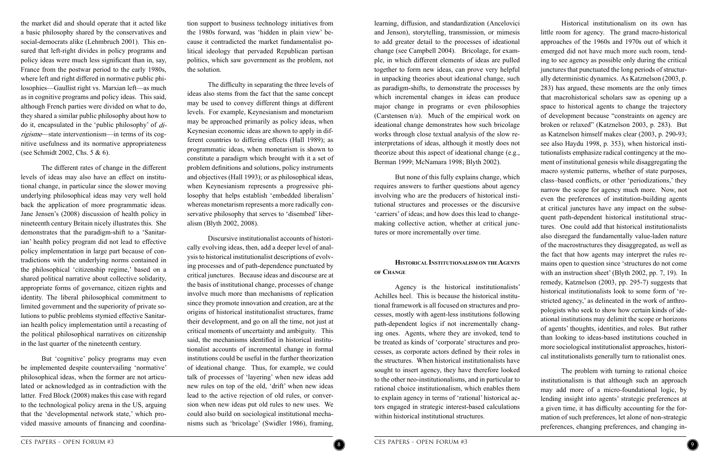

Historical institutionalism on its own has little room for agency. The grand macro-historical approaches of the 1960s and 1970s out of which it emerged did not have much more such room, tending to see agency as possible only during the critical junctures that punctuated the long periods of structurally deterministic dynamics. As Katznelson (2003, p. 283) has argued, these moments are the only times that macrohistorical scholars saw as opening up a space to historical agents to change the trajectory of development because "constraints on agency are broken or relaxed" (Katznelson 2003, p. 283). But as Katznelson himself makes clear (2003, p. 290-93; see also Haydu 1998, p. 353), when historical institutionalists emphasize radical contingency at the moment of institutional genesis while disaggregating the macro systemic patterns, whether of state purposes, class–based conflicts, or other 'periodizations,' they narrow the scope for agency much more. Now, not even the preferences of institution-building agents at critical junctures have any impact on the subsequent path-dependent historical institutional structures. One could add that historical institutionalists also disregard the fundamentally value-laden nature of the macrostructures they disaggregated, as well as the fact that how agents may interpret the rules remains open to question since 'structures do not come with an instruction sheet' (Blyth 2002, pp. 7, 19). In remedy, Katznelson (2003, pp. 295-7) suggests that historical institutionalists look to some form of 'restricted agency,' as delineated in the work of anthropologists who seek to show how certain kinds of ideational institutions may delimit the scope or horizons of agents' thoughts, identities, and roles. But rather than looking to ideas-based institutions couched in more sociological institutionalist approaches, historical institutionalists generally turn to rationalist ones.

The problem with turning to rational choice institutionalism is that although such an approach may add more of a micro-foundational logic, by lending insight into agents' strategic preferences at a given time, it has difficulty accounting for the formation of such preferences, let alone of non-strategic preferences, changing preferences, and changing in-

learning, diffusion, and standardization (Ancelovici and Jenson), storytelling, transmission, or mimesis to add greater detail to the processes of ideational change (see Campbell 2004). Bricolage, for example, in which different elements of ideas are pulled together to form new ideas, can prove very helpful in unpacking theories about ideational change, such as paradigm-shifts, to demonstrate the processes by which incremental changes in ideas can produce major change in programs or even philosophies (Carstensen n/a). Much of the empirical work on ideational change demonstrates how such bricolage works through close textual analysis of the slow reinterpretations of ideas, although it mostly does not theorize about this aspect of ideational change (e.g., Berman 1999; McNamara 1998; Blyth 2002).

But none of this fully explains change, which requires answers to further questions about agency involving who are the producers of historical institutional structures and processes or the discursive 'carriers' of ideas; and how does this lead to changemaking collective action, whether at critical junctures or more incrementally over time.

### **Historical Institutionalism on theAgents of Change**

Agency is the historical institutionalists' Achilles heel. This is because the historical institutional framework is all focused on structures and processes, mostly with agent-less institutions following path-dependent logics if not incrementally changing ones. Agents, where they are invoked, tend to be treated as kinds of 'corporate' structures and processes, as corporate actors defined by their roles in the structures. When historical institutionalists have sought to insert agency, they have therefore looked to the other neo-institutionalisms, and in particular to rational choice institutionalism, which enables them to explain agency in terms of 'rational' historical actors engaged in strategic interest-based calculations within historical institutional structures.

tion support to business technology initiatives from the 1980s forward, was 'hidden in plain view' because it contradicted the market fundamentalist political ideology that pervaded Republican partisan politics, which saw government as the problem, not the solution.

The difficulty in separating the three levels of ideas also stems from the fact that the same concept may be used to convey different things at different levels. For example, Keynesianism and monetarism may be approached primarily as policy ideas, when Keynesian economic ideas are shown to apply in different countries to differing effects (Hall 1989); as programmatic ideas, when monetarism is shown to constitute a paradigm which brought with it a set of problem definitions and solutions, policy instruments and objectives (Hall 1993); or as philosophical ideas, when Keynesianism represents a progressive philosophy that helps establish 'embedded liberalism' whereas monetarism represents a more radically conservative philosophy that serves to 'disembed' liberalism (Blyth 2002, 2008).

Discursive institutionalist accounts of historically evolving ideas, then, add a deeper level of analysis to historical institutionalist descriptions of evolving processes and of path-dependence punctuated by critical junctures. Because ideas and discourse are at the basis of institutional change, processes of change involve much more than mechanisms of replication since they promote innovation and creation, are at the origins of historical institutionalist structures, frame their development, and go on all the time, not just at critical moments of uncertainty and ambiguity. This said, the mechanisms identified in historical institutionalist accounts of incremental change in formal institutions could be useful in the further theorization of ideational change. Thus, for example, we could talk of processes of 'layering' when new ideas add new rules on top of the old, 'drift' when new ideas lead to the active rejection of old rules, or conversion when new ideas put old rules to new uses. We could also build on sociological institutional mechanisms such as 'bricolage' (Swidler 1986), framing,

the market did and should operate that it acted like a basic philosophy shared by the conservatives and social-democrats alike (Lehmbruch 2001). This ensured that left-right divides in policy programs and policy ideas were much less significant than in, say, France from the postwar period to the early 1980s, where left and right differed in normative public philosophies—Gaullist right vs. Marxian left—as much as in cognitive programs and policy ideas. This said, although French parties were divided on what to do, they shared a similar public philosophy about how to do it, encapsulated in the 'public philosophy' of dirigisme—state interventionism—in terms of its cognitive usefulness and its normative appropriateness (see Schmidt 2002, Chs. 5 & 6).

The different rates of change in the different levels of ideas may also have an effect on institutional change, in particular since the slower moving underlying philosophical ideas may very well hold back the application of more programmatic ideas. Jane Jensen's (2008) discussion of health policy in nineteenth century Britain nicely illustrates this. She demonstrates that the paradigm-shift to a 'Sanitarian' health policy program did not lead to effective policy implementation in large part because of contradictions with the underlying norms contained in the philosophical 'citizenship regime,' based on a shared political narrative about collective solidarity, appropriate forms of governance, citizen rights and identity. The liberal philosophical commitment to limited government and the superiority of private solutions to public problems stymied effective Sanitarian health policy implementation until a recasting of the political philosophical narratives on citizenship in the last quarter of the nineteenth century.

But 'cognitive' policy programs may even be implemented despite countervailing 'normative' philosophical ideas, when the former are not articulated or acknowledged as in contradiction with the latter. Fred Block (2008) makes this case with regard to the technological policy arena in the US, arguing that the 'developmental network state,' which provided massive amounts of financing and coordina-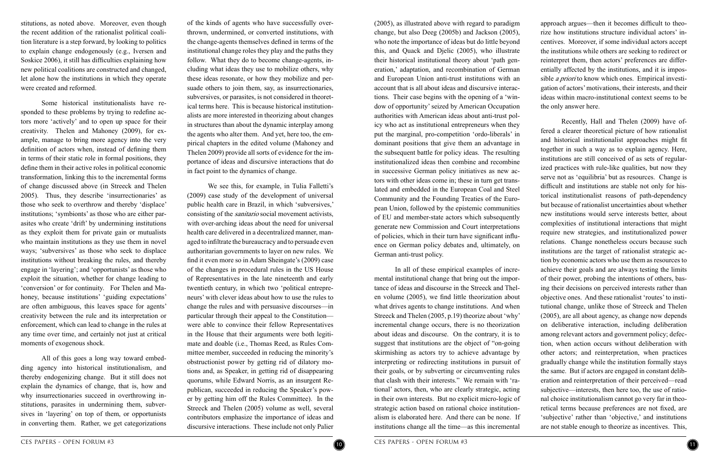

approach argues—then it becomes difficult to theorize how institutions structure individual actors' incentives. Moreover, if some individual actors accept the institutions while others are seeking to redirect or reinterpret them, then actors' preferences are differentially affected by the institutions, and it is impossible *a priori* to know which ones. Empirical investigation of actors' motivations, their interests, and their ideas within macro-institutional context seems to be the only answer here.

Recently, Hall and Thelen (2009) have offered a clearer theoretical picture of how rationalist and historical institutionalist approaches might fit together in such a way as to explain agency. Here, institutions are still conceived of as sets of regularized practices with rule-like qualities, but now they serve not as 'equilibria' but as resources. Change is difficult and institutions are stable not only for historical institutionalist reasons of path-dependency but because of rationalist uncertainties about whether new institutions would serve interests better, about complexities of institutional interactions that might require new strategies, and institutionalized power relations. Change nonetheless occurs because such institutions are the target of rationalist strategic action by economic actors who use them as resources to achieve their goals and are always testing the limits of their power, probing the intentions of others, basing their decisions on perceived interests rather than objective ones. And these rationalist 'routes' to institutional change, unlike those of Streeck and Thelen (2005), are all about agency, as change now depends on deliberative interaction, including deliberation among relevant actors and government policy; defection, when action occurs without deliberation with other actors; and reinterpretation, when practices gradually change while the institution formally stays the same. But if actors are engaged in constant deliberation and reinterpretation of their perceived—read subjective—interests, then here too, the use of rational choice institutionalism cannot go very far in theoretical terms because preferences are not fixed, are 'subjective' rather than 'objective,' and institutions are not stable enough to theorize as incentives. This,

(2005), as illustrated above with regard to paradigm change, but also Deeg (2005b) and Jackson (2005), who note the importance of ideas but do little beyond this, and Quack and Djelic (2005), who illustrate their historical institutional theory about 'path generation,' adaptation, and recombination of German and European Union anti-trust institutions with an account that is all about ideas and discursive interactions. Their case begins with the opening of a 'window of opportunity' seized by American Occupation authorities with American ideas about anti-trust policy who act as institutional entrepreneurs when they put the marginal, pro-competition 'ordo-liberals' in dominant positions that give them an advantage in the subsequent battle for policy ideas. The resulting institutionalized ideas then combine and recombine in successive German policy initiatives as new actors with other ideas come in; these in turn get translated and embedded in the European Coal and Steel Community and the Founding Treaties of the European Union, followed by the epistemic communities of EU and member-state actors which subsequently generate new Commission and Court interpretations of policies, which in their turn have significant influence on German policy debates and, ultimately, on German anti-trust policy.

In all of these empirical examples of incremental institutional change that bring out the importance of ideas and discourse in the Streeck and Thelen volume (2005), we find little theorization about what drives agents to change institutions. And when Streeck and Thelen (2005, p.19) theorize about 'why' incremental change occurs, there is no theorization about ideas and discourse. On the contrary, it is to suggest that institutions are the object of "on-going skirmishing as actors try to achieve advantage by interpreting or redirecting institutions in pursuit of their goals, or by subverting or circumventing rules that clash with their interests." We remain with 'rational' actors, then, who are clearly strategic, acting in their own interests. But no explicit micro-logic of strategic action based on rational choice institutionalism is elaborated here. And there can be none. If institutions change all the time—as this incremental

of the kinds of agents who have successfully overthrown, undermined, or converted institutions, with the change-agents themselves defined in terms of the institutional change roles they play and the paths they follow. What they do to become change-agents, including what ideas they use to mobilize others, why these ideas resonate, or how they mobilize and persuade others to join them, say, as insurrectionaries, subversives, or parasites, is not considered in theoretical terms here. This is because historical institutionalists are more interested in theorizing about changes in structures than about the dynamic interplay among the agents who alter them. And yet, here too, the empirical chapters in the edited volume (Mahoney and Thelen 2009) provide all sorts of evidence for the importance of ideas and discursive interactions that do in fact point to the dynamics of change.

We see this, for example, in Tulia Falletti's (2009) case study of the development of universal public health care in Brazil, in which 'subversives,' consisting of the sanitario social movement activists, with over-arching ideas about the need for universal health care delivered in a decentralized manner, managed to infiltrate the bureaucracy and to persuade even authoritarian governments to layer on new rules. We find it even more so in Adam Sheingate's (2009) case of the changes in procedural rules in the US House of Representatives in the late nineteenth and early twentieth century, in which two 'political entrepreneurs' with clever ideas about how to use the rules to change the rules and with persuasive discourses—in particular through their appeal to the Constitution were able to convince their fellow Representatives in the House that their arguments were both legitimate and doable (i.e., Thomas Reed, as Rules Committee member, succeeded in reducing the minority's obstructionist power by getting rid of dilatory motions and, as Speaker, in getting rid of disappearing quorums, while Edward Norris, as an insurgent Republican, succeeded in reducing the Speaker's power by getting him off the Rules Committee). In the Streeck and Thelen (2005) volume as well, several contributors emphasize the importance of ideas and discursive interactions. These include not only Palier

stitutions, as noted above. Moreover, even though the recent addition of the rationalist political coalition literature is a step forward, by looking to politics to explain change endogenously (e.g., Iversen and Soskice 2006), it still has difficulties explaining how new political coalitions are constructed and changed, let alone how the institutions in which they operate were created and reformed.

Some historical institutionalists have responded to these problems by trying to redefine actors more 'actively' and to open up space for their creativity. Thelen and Mahoney (2009), for example, manage to bring more agency into the very definition of actors when, instead of defining them in terms of their static role in formal positions, they define them in their active roles in political economic transformation, linking this to the incremental forms of change discussed above (in Streeck and Thelen 2005). Thus, they describe 'insurrectionaries' as those who seek to overthrow and thereby 'displace' institutions; 'symbionts' as those who are either parasites who create 'drift' by undermining institutions as they exploit them for private gain or mutualists who maintain institutions as they use them in novel ways; 'subversives' as those who seek to displace institutions without breaking the rules, and thereby engage in 'layering'; and 'opportunists' as those who exploit the situation, whether for change leading to 'conversion' or for continuity. For Thelen and Mahoney, because institutions' 'guiding expectations' are often ambiguous, this leaves space for agents' creativity between the rule and its interpretation or enforcement, which can lead to change in the rules at any time over time, and certainly not just at critical moments of exogenous shock.

All of this goes a long way toward embedding agency into historical institutionalism, and thereby endogenizing change. But it still does not explain the dynamics of change, that is, how and why insurrectionaries succeed in overthrowing institutions, parasites in undermining them, subversives in 'layering' on top of them, or opportunists in converting them. Rather, we get categorizations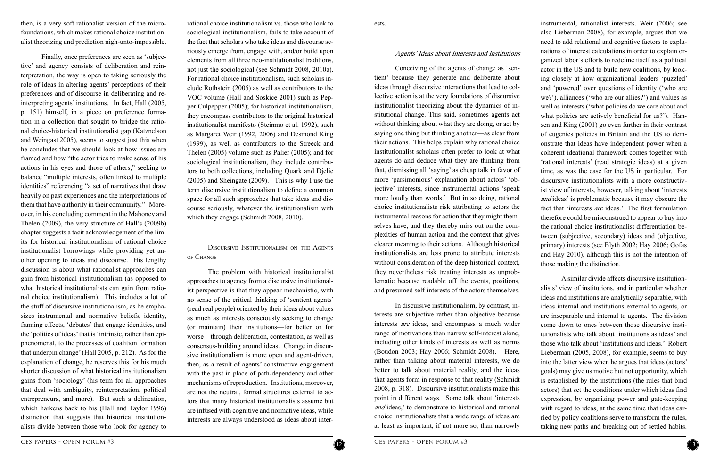instrumental, rationalist interests. Weir (2006; see also Lieberman 2008), for example, argues that we need to add relational and cognitive factors to explanations of interest calculations in order to explain organized labor's efforts to redefine itself as a political actor in the US and to build new coalitions, by looking closely at how organizational leaders 'puzzled' and 'powered' over questions of identity ('who are we?'), alliances ('who are our allies?') and values as well as interests ('what policies do we care about and what policies are actively beneficial for us?'). Hansen and King (2001) go even further in their contrast of eugenics policies in Britain and the US to demonstrate that ideas have independent power when a coherent ideational framework comes together with 'rational interests' (read strategic ideas) at a given time, as was the case for the US in particular. For discursive institutionalists with a more constructivist view of interests, however, talking about 'interests and ideas' is problematic because it may obscure the fact that 'interests *are* ideas.' The first formulation therefore could be misconstrued to appear to buy into the rational choice institutionalist differentiation between (subjective, secondary) ideas and (objective, primary) interests (see Blyth 2002; Hay 2006; Gofas and Hay 2010), although this is not the intention of those making the distinction.

A similar divide affects discursive institutionalists' view of institutions, and in particular whether ideas and institutions are analytically separable, with ideas internal and institutions external to agents, or are inseparable and internal to agents. The division come down to ones between those discursive institutionalists who talk about 'institutions as ideas' and those who talk about 'institutions and ideas.' Robert Lieberman (2005, 2008), for example, seems to buy into the latter view when he argues that ideas (actors' goals) may give us motive but not opportunity, which is established by the institutions (the rules that bind actors) that set the conditions under which ideas find expression, by organizing power and gate-keeping with regard to ideas, at the same time that ideas carried by policy coalitions serve to transform the rules, taking new paths and breaking out of settled habits.

ests.

#### Agents' Ideas about Interests and Institutions

Conceiving of the agents of change as 'sentient' because they generate and deliberate about ideas through discursive interactions that lead to collective action is at the very foundations of discursive institutionalist theorizing about the dynamics of institutional change. This said, sometimes agents act without thinking about what they are doing, or act by saying one thing but thinking another—as clear from their actions. This helps explain why rational choice institutionalist scholars often prefer to look at what agents do and deduce what they are thinking from that, dismissing all 'saying' as cheap talk in favor of more 'parsimonious' explanation about actors' 'objective' interests, since instrumental actions 'speak more loudly than words.' But in so doing, rational choice institutionalists risk attributing to actors the instrumental reasons for action that they might themselves have, and they thereby miss out on the complexities of human action and the context that gives clearer meaning to their actions. Although historical institutionalists are less prone to attribute interests without consideration of the deep historical context, they nevertheless risk treating interests as unproblematic because readable off the events, positions, and presumed self-interests of the actors themselves.

In discursive institutionalism, by contrast, interests are subjective rather than objective because interests are ideas, and encompass a much wider range of motivations than narrow self-interest alone, including other kinds of interests as well as norms (Boudon 2003; Hay 2006; Schmidt 2008). Here, rather than talking about material interests, we do better to talk about material reality, and the ideas that agents form in response to that reality (Schmidt 2008, p. 318). Discursive institutionalists make this point in different ways. Some talk about 'interests and ideas,' to demonstrate to historical and rational choice institutionalists that a wide range of ideas are at least as important, if not more so, than narrowly



rational choice institutionalism vs. those who look to sociological institutionalism, fails to take account of the fact that scholars who take ideas and discourse seriously emerge from, engage with, and/or build upon elements from all three neo-institutionalist traditions, not just the sociological (see Schmidt 2008, 2010a). For rational choice institutionalism, such scholars include Rothstein (2005) as well as contributors to the VOC volume (Hall and Soskice 2001) such as Pepper Culpepper (2005); for historical institutionalism, they encompass contributors to the original historical institutionalist manifesto (Steinmo et al. 1992), such as Margaret Weir (1992, 2006) and Desmond King (1999), as well as contributors to the Streeck and Thelen (2005) volume such as Palier (2005); and for sociological institutionalism, they include contributors to both collections, including Quark and Djelic (2005) and Sheingate (2009). This is why I use the term discursive institutionalism to define a common space for all such approaches that take ideas and discourse seriously, whatever the institutionalism with which they engage (Schmidt 2008, 2010).

Discursive Institutionalism on the Agents of Change

The problem with historical institutionalist approaches to agency from a discursive institutionalist perspective is that they appear mechanistic, with no sense of the critical thinking of 'sentient agents' (read real people) oriented by their ideas about values as much as interests consciously seeking to change (or maintain) their institutions—for better or for worse—through deliberation, contestation, as well as consensus-building around ideas. Change in discursive institutionalism is more open and agent-driven, then, as a result of agents' constructive engagement with the past in place of path-dependency and other mechanisms of reproduction. Institutions, moreover, are not the neutral, formal structures external to actors that many historical institutionalists assume but are infused with cognitive and normative ideas, while interests are always understood as ideas about inter-

then, is a very soft rationalist version of the microfoundations, which makes rational choice institutionalist theorizing and prediction nigh-unto-impossible.

Finally, once preferences are seen as 'subjective' and agency consists of deliberation and reinterpretation, the way is open to taking seriously the role of ideas in altering agents' perceptions of their preferences and of discourse in deliberating and reinterpreting agents' institutions. In fact, Hall (2005, p. 151) himself, in a piece on preference formation in a collection that sought to bridge the rational choice-historical institutionalist gap (Katznelson and Weingast 2005), seems to suggest just this when he concludes that we should look at how issues are framed and how "the actor tries to make sense of his actions in his eyes and those of others," seeking to balance "multiple interests, often linked to multiple identities" referencing "a set of narratives that draw heavily on past experiences and the interpretations of them that have authority in their community." Moreover, in his concluding comment in the Mahoney and Thelen (2009), the very structure of Hall's (2009b) chapter suggests a tacit acknowledgement of the limits for historical institutionalism of rational choice institutionalist borrowings while providing yet another opening to ideas and discourse. His lengthy discussion is about what rationalist approaches can gain from historical institutionalism (as opposed to what historical institutionalists can gain from rational choice institutionalism). This includes a lot of the stuff of discursive institutionalism, as he emphasizes instrumental and normative beliefs, identity, framing effects, 'debates' that engage identities, and the 'politics of ideas' that is 'intrinsic, rather than epiphenomenal, to the processes of coalition formation that underpin change' (Hall 2005, p. 212). As for the explanation of change, he reserves this for his much shorter discussion of what historical institutionalism gains from 'sociology' (his term for all approaches that deal with ambiguity, reinterpretation, political entrepreneurs, and more). But such a delineation, which harkens back to his (Hall and Taylor 1996) distinction that suggests that historical institutionalists divide between those who look for agency to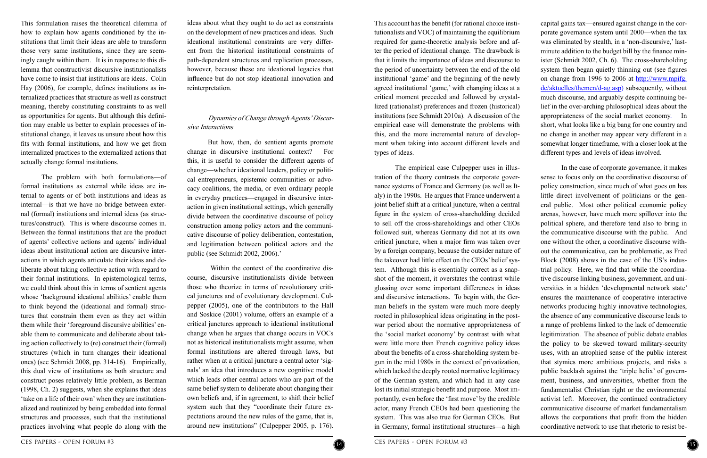

capital gains tax—ensured against change in the corporate governance system until 2000—when the tax was eliminated by stealth, in a 'non-discursive,' lastminute addition to the budget bill by the finance minister (Schmidt 2002, Ch. 6). The cross-shareholding system then began quietly thinning out (see figures on change from 1996 to 2006 at [http://www.mpifg.](http://www.mpifg.de/aktuelles/themen/d-ag.asp) [de/aktuelles/themen/d-ag.asp\)](http://www.mpifg.de/aktuelles/themen/d-ag.asp) subsequently, without much discourse, and arguably despite continuing belief in the over-arching philosophical ideas about the appropriateness of the social market economy. In short, what looks like a big bang for one country and no change in another may appear very different in a somewhat longer timeframe, with a closer look at the different types and levels of ideas involved.

In the case of corporate governance, it makes sense to focus only on the coordinative discourse of policy construction, since much of what goes on has little direct involvement of politicians or the general public. Most other political economic policy arenas, however, have much more spillover into the political sphere, and therefore tend also to bring in the communicative discourse with the public. And one without the other, a coordinative discourse without the communicative, can be problematic, as Fred Block (2008) shows in the case of the US's industrial policy. Here, we find that while the coordinative discourse linking business, government, and universities in a hidden 'developmental network state' ensures the maintenance of cooperative interactive networks producing highly innovative technologies, the absence of any communicative discourse leads to a range of problems linked to the lack of democratic legitimization. The absence of public debate enables the policy to be skewed toward military-security uses, with an atrophied sense of the public interest that stymies more ambitious projects, and risks a public backlash against the 'triple helix' of government, business, and universities, whether from the fundamentalist Christian right or the environmental activist left. Moreover, the continued contradictory communicative discourse of market fundamentalism allows the corporations that profit from the hidden coordinative network to use that rhetoric to resist be-

This account has the benefit (for rational choice institutionalists and VOC) of maintaining the equilibrium required for game-theoretic analysis before and after the period of ideational change. The drawback is that it limits the importance of ideas and discourse to the period of uncertainty between the end of the old institutional 'game' and the beginning of the newly agreed institutional 'game,' with changing ideas at a critical moment preceded and followed by crystallized (rationalist) preferences and frozen (historical) institutions (see Schmidt 2010a). A discussion of the empirical case will demonstrate the problems with this, and the more incremental nature of development when taking into account different levels and types of ideas.

The empirical case Culpepper uses in illustration of the theory contrasts the corporate governance systems of France and Germany (as well as Italy) in the 1990s. He argues that France underwent a joint belief shift at a critical juncture, when a central figure in the system of cross-shareholding decided to sell off the cross-shareholdings and other CEOs followed suit, whereas Germany did not at its own critical juncture, when a major firm was taken over by a foreign company, because the outsider nature of the takeover had little effect on the CEOs' belief system. Although this is essentially correct as a snapshot of the moment, it overstates the contrast while glossing over some important differences in ideas and discursive interactions. To begin with, the German beliefs in the system were much more deeply rooted in philosophical ideas originating in the postwar period about the normative appropriateness of the 'social market economy' by contrast with what were little more than French cognitive policy ideas about the benefits of a cross-shareholding system begun in the mid 1980s in the context of privatization, which lacked the deeply rooted normative legitimacy of the German system, and which had in any case lost its initial strategic benefit and purpose. Most importantly, even before the 'first move' by the credible actor, many French CEOs had been questioning the system. This was also true for German CEOs. But in Germany, formal institutional structures—a high

ideas about what they ought to do act as constraints on the development of new practices and ideas. Such ideational institutional constraints are very different from the historical institutional constraints of path-dependent structures and replication processes, however, because these are ideational legacies that influence but do not stop ideational innovation and reinterpretation.

### Dynamics of Change through Agents' Discursive Interactions

But how, then, do sentient agents promote change in discursive institutional context? For this, it is useful to consider the different agents of change—whether ideational leaders, policy or political entrepreneurs, epistemic communities or advocacy coalitions, the media, or even ordinary people in everyday practices—engaged in discursive interaction in given institutional settings, which generally divide between the coordinative discourse of policy construction among policy actors and the communicative discourse of policy deliberation, contestation, and legitimation between political actors and the public (see Schmidt 2002, 2006).'

 Within the context of the coordinative discourse, discursive institutionalists divide between those who theorize in terms of revolutionary critical junctures and of evolutionary development. Culpepper (2005), one of the contributors to the Hall and Soskice (2001) volume, offers an example of a critical junctures approach to ideational institutional change when he argues that change occurs in VOCs not as historical institutionalists might assume, when formal institutions are altered through laws, but rather when at a critical juncture a central actor 'signals' an idea that introduces a new cognitive model which leads other central actors who are part of the same belief system to deliberate about changing their own beliefs and, if in agreement, to shift their belief system such that they "coordinate their future expectations around the new rules of the game, that is, around new institutions" (Culpepper 2005, p. 176).

This formulation raises the theoretical dilemma of how to explain how agents conditioned by the institutions that limit their ideas are able to transform those very same institutions, since they are seemingly caught within them. It is in response to this dilemma that constructivist discursive institutionalists have come to insist that institutions are ideas. Colin Hay (2006), for example, defines institutions as internalized practices that structure as well as construct meaning, thereby constituting constraints to as well as opportunities for agents. But although this definition may enable us better to explain processes of institutional change, it leaves us unsure about how this fits with formal institutions, and how we get from internalized practices to the externalized actions that actually change formal institutions.

The problem with both formulations—of formal institutions as external while ideas are internal to agents or of both institutions and ideas as internal—is that we have no bridge between external (formal) institutions and internal ideas (as structures/construct). This is where discourse comes in. Between the formal institutions that are the product of agents' collective actions and agents' individual ideas about institutional action are discursive interactions in which agents articulate their ideas and deliberate about taking collective action with regard to their formal institutions. In epistemological terms, we could think about this in terms of sentient agents whose 'background ideational abilities' enable them to think beyond the (ideational and formal) structures that constrain them even as they act within them while their 'foreground discursive abilities' enable them to communicate and deliberate about taking action collectively to (re) construct their (formal) structures (which in turn changes their ideational ones) (see Schmidt 2008, pp. 314-16). Empirically, this dual view of institutions as both structure and construct poses relatively little problem, as Berman (1998, Ch. 2) suggests, when she explains that ideas 'take on a life of their own' when they are institutionalized and routinized by being embedded into formal structures and processes, such that the institutional practices involving what people do along with the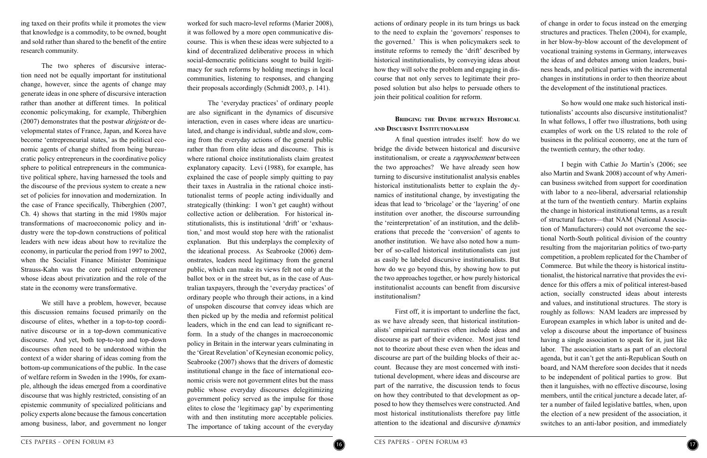

of change in order to focus instead on the emerging structures and practices. Thelen (2004), for example, in her blow-by-blow account of the development of vocational training systems in Germany, interweaves the ideas of and debates among union leaders, business heads, and political parties with the incremental changes in institutions in order to then theorize about the development of the institutional practices.

So how would one make such historical institutionalists' accounts also discursive institutionalist? In what follows, I offer two illustrations, both using examples of work on the US related to the role of business in the political economy, one at the turn of the twentieth century, the other today.

I begin with Cathie Jo Martin's (2006; see also Martin and Swank 2008) account of why American business switched from support for coordination with labor to a neo-liberal, adversarial relationship at the turn of the twentieth century. Martin explains the change in historical institutional terms, as a result of structural factors—that NAM (National Association of Manufacturers) could not overcome the sectional North-South political division of the country resulting from the majoritarian politics of two-party competition, a problem replicated for the Chamber of Commerce. But while the theory is historical institutionalist, the historical narrative that provides the evidence for this offers a mix of political interest-based action, socially constructed ideas about interests and values, and institutional structures. The story is roughly as follows: NAM leaders are impressed by European examples in which labor is united and develop a discourse about the importance of business having a single association to speak for it, just like labor. The association starts as part of an electoral agenda, but it can't get the anti-Republican South on board, and NAM therefore soon decides that it needs to be independent of political parties to grow. But then it languishes, with no effective discourse, losing members, until the critical juncture a decade later, after a number of failed legislative battles, when, upon the election of a new president of the association, it switches to an anti-labor position, and immediately

actions of ordinary people in its turn brings us back to the need to explain the 'governors' responses to the governed.' This is when policymakers seek to institute reforms to remedy the 'drift' described by historical institutionalists, by conveying ideas about how they will solve the problem and engaging in discourse that not only serves to legitimate their proposed solution but also helps to persuade others to join their political coalition for reform.

#### **Bridging the Divide between Historical and Discursive Institutionalism**

A final question intrudes itself: how do we bridge the divide between historical and discursive institutionalism, or create a *rapprochement* between the two approaches? We have already seen how turning to discursive institutionalist analysis enables historical institutionalists better to explain the dynamics of institutional change, by investigating the ideas that lead to 'bricolage' or the 'layering' of one institution over another, the discourse surrounding the 'reinterpretation' of an institution, and the deliberations that precede the 'conversion' of agents to another institution. We have also noted how a number of so-called historical institutionalists can just as easily be labeled discursive institutionalists. But how do we go beyond this, by showing how to put the two approaches together, or how purely historical institutionalist accounts can benefit from discursive institutionalism?

First off, it is important to underline the fact, as we have already seen, that historical institutionalists' empirical narratives often include ideas and discourse as part of their evidence. Most just tend not to theorize about these even when the ideas and discourse are part of the building blocks of their account. Because they are most concerned with institutional development, where ideas and discourse are part of the narrative, the discussion tends to focus on how they contributed to that development as opposed to how they themselves were constructed. And most historical institutionalists therefore pay little attention to the ideational and discursive dynamics

worked for such macro-level reforms (Marier 2008), it was followed by a more open communicative discourse. This is when these ideas were subjected to a kind of decentralized deliberative process in which social-democratic politicians sought to build legitimacy for such reforms by holding meetings in local communities, listening to responses, and changing their proposals accordingly (Schmidt 2003, p. 141).

The 'everyday practices' of ordinary people are also significant in the dynamics of discursive interaction, even in cases where ideas are unarticulated, and change is individual, subtle and slow, coming from the everyday actions of the general public rather than from elite ideas and discourse. This is where rational choice institutionalists claim greatest explanatory capacity. Levi (1988), for example, has explained the case of people simply quitting to pay their taxes in Australia in the rational choice institutionalist terms of people acting individually and strategically (thinking: I won't get caught) without collective action or deliberation. For historical institutionalists, this is institutional 'drift' or 'exhaustion,' and most would stop here with the rationalist explanation. But this underplays the complexity of the ideational process. As Seabrooke (2006) demonstrates, leaders need legitimacy from the general public, which can make its views felt not only at the ballot box or in the street but, as in the case of Australian taxpayers, through the 'everyday practices' of ordinary people who through their actions, in a kind of unspoken discourse that convey ideas which are then picked up by the media and reformist political leaders, which in the end can lead to significant reform. In a study of the changes in macroeconomic policy in Britain in the interwar years culminating in the 'Great Revelation' of Keynesian economic policy, Seabrooke (2007) shows that the drivers of domestic institutional change in the face of international economic crisis were not government elites but the mass public whose everyday discourses delegitimizing government policy served as the impulse for those elites to close the 'legitimacy gap' by experimenting with and then instituting more acceptable policies. The importance of taking account of the everyday

ing taxed on their profits while it promotes the view that knowledge is a commodity, to be owned, bought and sold rather than shared to the benefit of the entire research community.

The two spheres of discursive interaction need not be equally important for institutional change, however, since the agents of change may generate ideas in one sphere of discursive interaction rather than another at different times. In political economic policymaking, for example, Thiberghien (2007) demonstrates that the postwar dirigiste or developmental states of France, Japan, and Korea have become 'entrepreneurial states,' as the political economic agents of change shifted from being bureaucratic policy entrepreneurs in the coordinative policy sphere to political entrepreneurs in the communicative political sphere, having harnessed the tools and the discourse of the previous system to create a new set of policies for innovation and modernization. In the case of France specifically, Thiberghien (2007, Ch. 4) shows that starting in the mid 1980s major transformations of macroeconomic policy and industry were the top-down constructions of political leaders with new ideas about how to revitalize the economy, in particular the period from 1997 to 2002, when the Socialist Finance Minister Dominique Strauss-Kahn was the core political entrepreneur whose ideas about privatization and the role of the state in the economy were transformative.

We still have a problem, however, because this discussion remains focused primarily on the discourse of elites, whether in a top-to-top coordinative discourse or in a top-down communicative discourse. And yet, both top-to-top and top-down discourses often need to be understood within the context of a wider sharing of ideas coming from the bottom-up communications of the public. In the case of welfare reform in Sweden in the 1990s, for example, although the ideas emerged from a coordinative discourse that was highly restricted, consisting of an epistemic community of specialized politicians and policy experts alone because the famous concertation among business, labor, and government no longer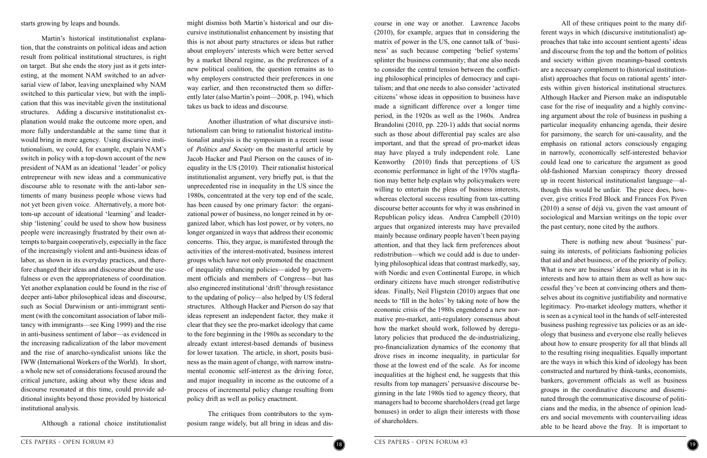

All of these critiques point to the many different ways in which (discursive institutionalist) approaches that take into account sentient agents' ideas and discourse from the top and the bottom of politics and society within given meanings-based contexts are a necessary complement to (historical institutionalist) approaches that focus on rational agents' interests within given historical institutional structures. Although Hacker and Pierson make an indisputable case for the rise of inequality and a highly convincing argument about the role of business in pushing a particular inequality enhancing agenda, their desire for parsimony, the search for uni-causality, and the emphasis on rational actors consciously engaging in narrowly, economically self-interested behavior could lead one to caricature the argument as good old-fashioned Marxian conspiracy theory dressed up in recent historical institutionalist language—although this would be unfair. The piece does, however, give critics Fred Block and Frances Fox Piven (2010) a sense of déjà vu, given the vast amount of sociological and Marxian writings on the topic over the past century, none cited by the authors.

There is nothing new about 'business' pursuing its interests, of politicians fashioning policies that aid and abet business, or of the priority of policy. What is new are business' ideas about what is in its interests and how to attain them as well as how successful they've been at convincing others and themselves about its cognitive justifiability and normative legitimacy. Pro-market ideology matters, whether it is seen as a cynical tool in the hands of self-interested business pushing regressive tax policies or as an ideology that business and everyone else really believes about how to ensure prosperity for all that blinds all to the resulting rising inequalities. Equally important are the ways in which this kind of ideology has been constructed and nurtured by think-tanks, economists, bankers, government officials as well as business groups in the coordinative discourse and disseminated through the communicative discourse of politicians and the media, in the absence of opinion leaders and social movements with countervailing ideas able to be heard above the fray. It is important to

course in one way or another. Lawrence Jacobs (2010), for example, argues that in considering the matrix of power in the US, one cannot talk of 'business' as such because competing 'belief systems' splinter the business community; that one also needs to consider the central tension between the conflicting philosophical principles of democracy and capitalism; and that one needs to also consider 'activated citizens' whose ideas in opposition to business have made a significant difference over a longer time period, in the 1920s as well as the 1960s. Andrea Brandolini (2010, pp. 220-1) adds that social norms such as those about differential pay scales are also important, and that the spread of pro-market ideas may have played a truly independent role. Lane Kenworthy (2010) finds that perceptions of US economic performance in light of the 1970s stagflation may better help explain why policymakers were willing to entertain the pleas of business interests, whereas electoral success resulting from tax-cutting discourse better accounts for why it was enshrined in Republican policy ideas. Andrea Campbell (2010) argues that organized interests may have prevailed mainly because ordinary people haven't been paying attention, and that they lack firm preferences about redistribution—which we could add is due to underlying philosophical ideas that contrast markedly, say, with Nordic and even Continental Europe, in which ordinary citizens have much stronger redistributive ideas. Finally, Neil Fligstein (2010) argues that one needs to 'fill in the holes' by taking note of how the economic crisis of the 1980s engendered a new normative pro-market, anti-regulatory consensus about how the market should work, followed by deregulatory policies that produced the de-industrializing, pro-financialization dynamics of the economy that drove rises in income inequality, in particular for those at the lowest end of the scale. As for income inequalities at the highest end, he suggests that this results from top managers' persuasive discourse beginning in the late 1980s tied to agency theory, that managers had to become shareholders (read get large bonuses) in order to align their interests with those of shareholders.

might dismiss both Martin's historical and our discursive institutionalist enhancement by insisting that this is not about party structures or ideas but rather about employers' interests which were better served by a market liberal regime, as the preferences of a new political coalition, the question remains as to why employers constructed their preferences in one way earlier, and then reconstructed them so differently later (also Martin's point—2008, p. 194), which takes us back to ideas and discourse.

Another illustration of what discursive institutionalism can bring to rationalist historical institutionalist analysis is the symposium in a recent issue of *Politics and Society* on the masterful article by Jacob Hacker and Paul Pierson on the causes of inequality in the US (2010). Their rationalist historical institutionalist argument, very briefly put, is that the unprecedented rise in inequality in the US since the 1980s, concentrated at the very top end of the scale, has been caused by one primary factor: the organizational power of business, no longer reined in by organized labor, which has lost power, or by voters, no longer organized in ways that address their economic concerns. This, they argue, is manifested through the activities of the interest-motivated, business interest groups which have not only promoted the enactment of inequality enhancing policies—aided by government officials and members of Congress—but has also engineered institutional 'drift' through resistance to the updating of policy—also helped by US federal structures. Although Hacker and Pierson do say that ideas represent an independent factor, they make it clear that they see the pro-market ideology that came to the fore beginning in the 1980s as secondary to the already extant interest-based demands of business for lower taxation. The article, in short, posits business as the main agent of change, with narrow instrumental economic self-interest as the driving force, and major inequality in income as the outcome of a process of incremental policy change resulting from policy drift as well as policy enactment.

The critiques from contributors to the symposium range widely, but all bring in ideas and dis-

starts growing by leaps and bounds.

Martin's historical institutionalist explanation, that the constraints on political ideas and action result from political institutional structures, is right on target. But she ends the story just as it gets interesting, at the moment NAM switched to an adversarial view of labor, leaving unexplained why NAM switched to this particular view, but with the implication that this was inevitable given the institutional structures. Adding a discursive institutionalist explanation would make the outcome more open, and more fully understandable at the same time that it would bring in more agency. Using discursive institutionalism, we could, for example, explain NAM's switch in policy with a top-down account of the new president of NAM as an ideational 'leader' or policy entrepreneur with new ideas and a communicative discourse able to resonate with the anti-labor sentiments of many business people whose views had not yet been given voice. Alternatively, a more bottom-up account of ideational 'learning' and leadership 'listening' could be used to show how business people were increasingly frustrated by their own attempts to bargain cooperatively, especially in the face of the increasingly violent and anti-business ideas of labor, as shown in its everyday practices, and therefore changed their ideas and discourse about the usefulness or even the appropriateness of coordination. Yet another explanation could be found in the rise of deeper anti-labor philosophical ideas and discourse, such as Social Darwinism or anti-immigrant sentiment (with the concomitant association of labor militancy with immigrants—see King 1999) and the rise in anti-business sentiment of labor—as evidenced in the increasing radicalization of the labor movement and the rise of anarcho-syndicalist unions like the IWW (International Workers of the World). In short, a whole new set of considerations focused around the critical juncture, asking about why these ideas and discourse resonated at this time, could provide additional insights beyond those provided by historical institutional analysis.

Although a rational choice institutionalist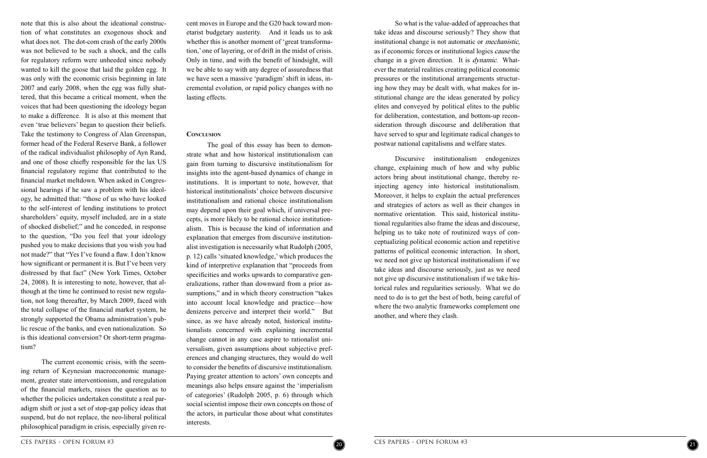So what is the value-added of approaches that take ideas and discourse seriously? They show that institutional change is not automatic or mechanistic, as if economic forces or institutional logics cause the change in a given direction. It is *dynamic*. Whatever the material realities creating political economic pressures or the institutional arrangements structur ing how they may be dealt with, what makes for in stitutional change are the ideas generated by policy elites and conveyed by political elites to the public for deliberation, contestation, and bottom-up reconsideration through discourse and deliberation that have served to spur and legitimate radical changes to postwar national capitalisms and welfare states.

Discursive institutionalism endogenizes change, explaining much of how and why public actors bring about institutional change, thereby reinjecting agency into historical institutionalism. Moreover, it helps to explain the actual preferences and strategies of actors as well as their changes in normative orientation. This said, historical institu tional regularities also frame the ideas and discourse, helping us to take note of routinized ways of con ceptualizing political economic action and repetitive patterns of political economic interaction. In short, we need not give up historical institutionalism if we take ideas and discourse seriously, just as we need not give up discursive institutionalism if we take his torical rules and regularities seriously. What we do need to do is to get the best of both, being careful of where the two analytic frameworks complement one another, and where they clash.

cent moves in Europe and the G20 back toward mon etarist budgetary austerity. And it leads us to ask whether this is another moment of 'great transformation,' one of layering, or of drift in the midst of crisis. Only in time, and with the benefit of hindsight, will we be able to say with any degree of assuredness that we have seen a massive 'paradigm' shift in ideas, incremental evolution, or rapid policy changes with no lasting effects.

#### **Conclusion**

The goal of this essay has been to demon strate what and how historical institutionalism can gain from turning to discursive institutionalism for insights into the agent-based dynamics of change in institutions. It is important to note, however, that historical institutionalists' choice between discursive institutionalism and rational choice institutionalism may depend upon their goal which, if universal pre cepts, is more likely to be rational choice institution alism. This is because the kind of information and explanation that emerges from discursive institution alist investigation is necessarily what Rudolph (2005, p. 12) calls 'situated knowledge,' which produces the kind of interpretive explanation that "proceeds from specificities and works upwards to comparative gen eralizations, rather than downward from a prior as sumptions," and in which theory construction "takes" into account local knowledge and practice—how denizens perceive and interpret their world." But since, as we have already noted, historical institu tionalists concerned with explaining incremental change cannot in any case aspire to rationalist uni versalism, given assumptions about subjective preferences and changing structures, they would do well to consider the benefits of discursive institutionalism. Paying greater attention to actors' own concepts and meanings also helps ensure against the 'imperialism of categories' (Rudolph 2005, p. 6) through which social scientist impose their own concepts on those of the actors, in particular those about what constitutes interests.

note that this is also about the ideational construc tion of what constitutes an exogenous shock and what does not. The dot-com crash of the early 2000s was not believed to be such a shock, and the calls for regulatory reform were unheeded since nobody wanted to kill the goose that laid the golden egg. It was only with the economic crisis beginning in late 2007 and early 2008, when the egg was fully shat tered, that this became a critical moment, when the voices that had been questioning the ideology began to make a difference. It is also at this moment that even 'true believers' began to question their beliefs. Take the testimony to Congress of Alan Greenspan, former head of the Federal Reserve Bank, a follower of the radical individualist philosophy of Ayn Rand, and one of those chiefly responsible for the lax US financial regulatory regime that contributed to the financial market meltdown. When asked in Congres sional hearings if he saw a problem with his ideol ogy, he admitted that: "those of us who have looked to the self-interest of lending institutions to protect shareholders' equity, myself included, are in a state of shocked disbelief;" and he conceded, in response to the question, "Do you feel that your ideology pushed you to make decisions that you wish you had not made?" that "Yes I've found a flaw. I don't know how significant or permanent it is. But I've been very distressed by that fact" (New York Times, October 24, 2008). It is interesting to note, however, that al though at the time he continued to resist new regula tion, not long thereafter, by March 2009, faced with the total collapse of the financial market system, he strongly supported the Obama administration's pub lic rescue of the banks, and even nationalization. So is this ideational conversion? Or short-term pragma tism?

The current economic crisis, with the seem ing return of Keynesian macroeconomic manage ment, greater state interventionism, and reregulation of the financial markets, raises the question as to whether the policies undertaken constitute a real par adigm shift or just a set of stop-gap policy ideas that suspend, but do not replace, the neo-liberal political philosophical paradigm in crisis, especially given re -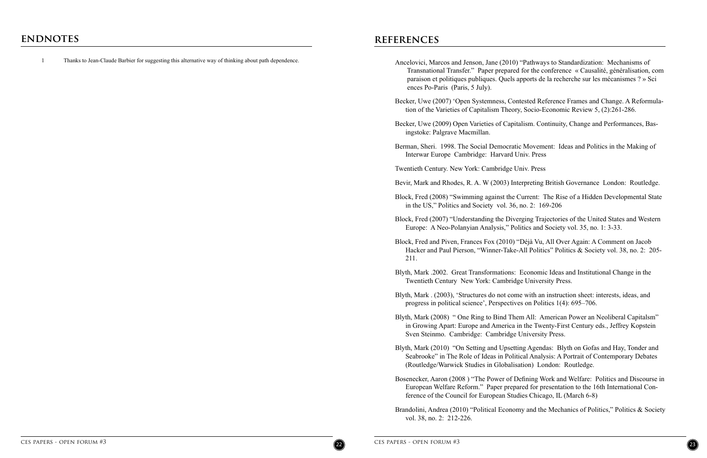## **references**

1 Thanks to Jean-Claude Barbier for suggesting this alternative way of thinking about path dependence.



Ancelovici, Marcos and Jenson, Jane (2010) "Pathways to Standardization: Mechanisms of Transnational Transfer." Paper prepared for the conference « Causalité, généralisation, com paraison et politiques publiques. Quels apports de la recherche sur les mécanismes ? » Sci

Becker, Uwe (2007) 'Open Systemness, Contested Reference Frames and Change. A Reformulation of the Varieties of Capitalism Theory, Socio-Economic Review 5, (2):261-286.

Block, Fred and Piven, Frances Fox (2010) "Déjà Vu, All Over Again: A Comment on Jacob Hacker and Paul Pierson, "Winner-Take-All Politics" Politics & Society vol. 38, no. 2: 205-

Becker, Uwe (2009) Open Varieties of Capitalism. Continuity, Change and Performances, Bas-

Berman, Sheri. 1998. The Social Democratic Movement: Ideas and Politics in the Making of

Bevir, Mark and Rhodes, R. A. W (2003) Interpreting British Governance London: Routledge.

Block, Fred (2008) "Swimming against the Current: The Rise of a Hidden Developmental State

Block, Fred (2007) "Understanding the Diverging Trajectories of the United States and Western

- ences Po-Paris (Paris, 5 July).
- 
- ingstoke: Palgrave Macmillan.
- Interwar Europe Cambridge: Harvard Univ. Press
- Twentieth Century. New York: Cambridge Univ. Press
- 
- in the US," Politics and Society vol. 36, no. 2: 169-206
- Europe: A Neo-Polanyian Analysis," Politics and Society vol. 35, no. 1: 3-33.
- 211.
- Blyth, Mark .2002. Great Transformations: Economic Ideas and Institutional Change in the Twentieth Century New York: Cambridge University Press.
- progress in political science', Perspectives on Politics 1(4): 695–706.
- Sven Steinmo. Cambridge: Cambridge University Press.
- (Routledge/Warwick Studies in Globalisation) London: Routledge.
- ference of the Council for European Studies Chicago, IL (March 6-8)
- vol. 38, no. 2: 212-226.

Blyth, Mark . (2003), 'Structures do not come with an instruction sheet: interests, ideas, and

Blyth, Mark (2008) " One Ring to Bind Them All: American Power an Neoliberal Capitalsm" in Growing Apart: Europe and America in the Twenty-First Century eds., Jeffrey Kopstein

Blyth, Mark (2010) "On Setting and Upsetting Agendas: Blyth on Gofas and Hay, Tonder and Seabrooke" in The Role of Ideas in Political Analysis: A Portrait of Contemporary Debates

Bosenecker, Aaron (2008 ) "The Power of Defining Work and Welfare: Politics and Discourse in European Welfare Reform." Paper prepared for presentation to the 16th International Con-

Brandolini, Andrea (2010) "Political Economy and the Mechanics of Politics," Politics & Society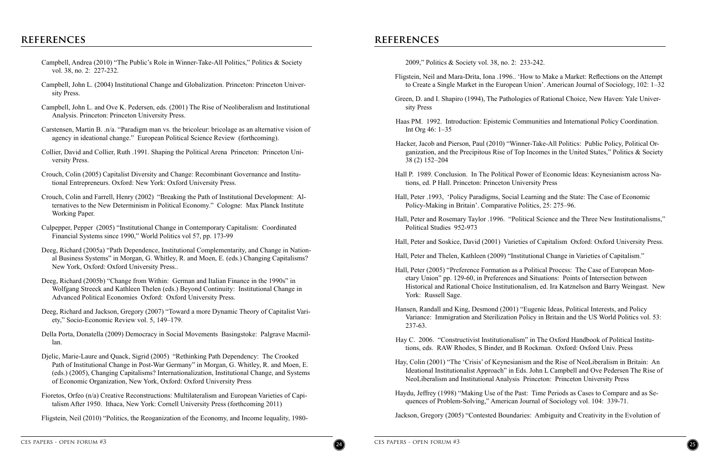# **references references**



- Campbell, Andrea (2010) "The Public's Role in Winner-Take-All Politics," Politics & Society vol. 38, no. 2: 227-232.
- Campbell, John L. (2004) Institutional Change and Globalization. Princeton: Princeton University Press.
- Campbell, John L. and Ove K. Pedersen, eds. (2001) The Rise of Neoliberalism and Institutional Analysis. Princeton: Princeton University Press.
- Carstensen, Martin B. .n/a. "Paradigm man vs. the bricoleur: bricolage as an alternative vision of agency in ideational change." European Political Science Review (forthcoming).
- Collier, David and Collier, Ruth .1991. Shaping the Political Arena Princeton: Princeton University Press.
- Crouch, Colin (2005) Capitalist Diversity and Change: Recombinant Governance and Institutional Entrepreneurs. Oxford: New York: Oxford University Press.
- Crouch, Colin and Farrell, Henry (2002) "Breaking the Path of Institutional Development: Alternatives to the New Determinism in Political Economy." Cologne: Max Planck Institute Working Paper.
- Culpepper, Pepper (2005) "Institutional Change in Contemporary Capitalism: Coordinated Financial Systems since 1990," World Politics vol 57, pp. 173-99
- Deeg, Richard (2005a) "Path Dependence, Institutional Complementarity, and Change in National Business Systems" in Morgan, G. Whitley, R. and Moen, E. (eds.) Changing Capitalisms? New York, Oxford: Oxford University Press..
- Deeg, Richard (2005b) "Change from Within: German and Italian Finance in the 1990s" in Wolfgang Streeck and Kathleen Thelen (eds.) Beyond Continuity: Institutional Change in Advanced Political Economies Oxford: Oxford University Press.
- Deeg, Richard and Jackson, Gregory (2007) "Toward a more Dynamic Theory of Capitalist Variety," Socio-Economic Review vol. 5, 149–179.
- Della Porta, Donatella (2009) Democracy in Social Movements Basingstoke: Palgrave Macmillan.
- Djelic, Marie-Laure and Quack, Sigrid (2005) "Rethinking Path Dependency: The Crooked Path of Institutional Change in Post-War Germany" in Morgan, G. Whitley, R. and Moen, E. (eds.) (2005), Changing Capitalisms? Internationalization, Institutional Change, and Systems of Economic Organization, New York, Oxford: Oxford University Press
- Fioretos, Orfeo (n/a) Creative Reconstructions: Multilateralism and European Varieties of Capitalism After 1950. Ithaca, New York: Cornell University Press (forthcoming 2011)

Fligstein, Neil (2010) "Politics, the Reoganization of the Economy, and Income Iequality, 1980-

Fligstein, Neil and Mara-Drita, Iona .1996.. 'How to Make a Market: Reflections on the Attempt to Create a Single Market in the European Union'. American Journal of Sociology, 102: 1–32

Green, D. and I. Shapiro (1994), The Pathologies of Rational Choice, New Haven: Yale Univer-

Haas PM. 1992. Introduction: Epistemic Communities and International Policy Coordination.

Hacker, Jacob and Pierson, Paul (2010) "Winner-Take-All Politics: Public Policy, Political Organization, and the Precipitous Rise of Top Incomes in the United States," Politics & Society

Hall P. 1989. Conclusion. In The Political Power of Economic Ideas: Keynesianism across Na-

Hall, Peter .1993, 'Policy Paradigms, Social Learning and the State: The Case of Economic

Hall, Peter and Rosemary Taylor .1996. "Political Science and the Three New Institutionalisms,"

Hall, Peter and Soskice, David (2001) Varieties of Capitalism Oxford: Oxford University Press.

- 2009," Politics & Society vol. 38, no. 2: 233-242.
- 
- sity Press
- Int Org 46: 1–35
- 38 (2) 152–204
- tions, ed. P Hall. Princeton: Princeton University Press
- Policy-Making in Britain'. Comparative Politics, 25: 275–96.
- Political Studies 952-973
- 
- Hall, Peter and Thelen, Kathleen (2009) "Institutional Change in Varieties of Capitalism."
- York: Russell Sage.
- 237-63.
- tions, eds. RAW Rhodes, S Binder, and B Rockman. Oxford: Oxford Univ. Press
- NeoLiberalism and Institutional Analysis Princeton: Princeton University Press
- quences of Problem-Solving," American Journal of Sociology vol. 104: 339-71.
- Jackson, Gregory (2005) "Contested Boundaries: Ambiguity and Creativity in the Evolution of

Hall, Peter (2005) "Preference Formation as a Political Process: The Case of European Monetary Union" pp. 129-60, in Preferences and Situations: Points of Intersection between Historical and Rational Choice Institutionalism, ed. Ira Katznelson and Barry Weingast. New

Hansen, Randall and King, Desmond (2001) "Eugenic Ideas, Political Interests, and Policy Variance: Immigration and Sterilization Policy in Britain and the US World Politics vol. 53:

Hay C. 2006. "Constructivist Institutionalism" in The Oxford Handbook of Political Institu-

Hay, Colin (2001) "The 'Crisis' of Keynesianism and the Rise of NeoLiberalism in Britain: An Ideational Institutionalist Approach" in Eds. John L Campbell and Ove Pedersen The Rise of

Haydu, Jeffrey (1998) "Making Use of the Past: Time Periods as Cases to Compare and as Se-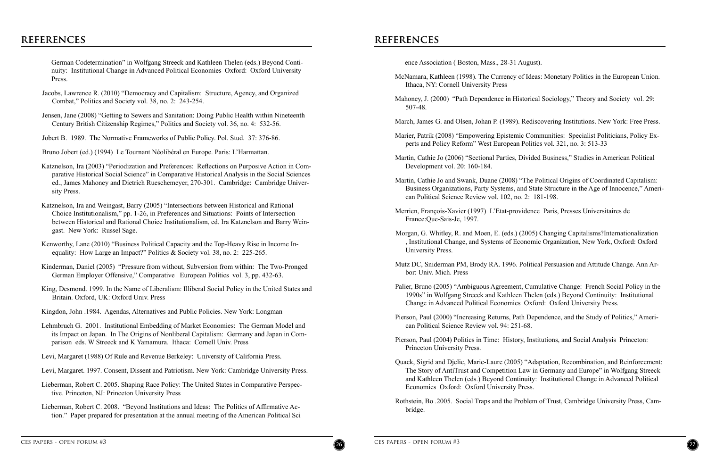# **references references**



German Codetermination" in Wolfgang Streeck and Kathleen Thelen (eds.) Beyond Continuity: Institutional Change in Advanced Political Economies Oxford: Oxford University Press.

- Jacobs, Lawrence R. (2010) "Democracy and Capitalism: Structure, Agency, and Organized Combat," Politics and Society vol. 38, no. 2: 243-254.
- Jensen, Jane (2008) "Getting to Sewers and Sanitation: Doing Public Health within Nineteenth Century British Citizenship Regimes," Politics and Society vol. 36, no. 4: 532-56.
- Jobert B. 1989. The Normative Frameworks of Public Policy. Pol. Stud. 37: 376-86.

Bruno Jobert (ed.) (1994) Le Tournant Néolibéral en Europe. Paris: L'Harmattan.

- Katznelson, Ira (2003) "Periodization and Preferences: Reflections on Purposive Action in Comparative Historical Social Science" in Comparative Historical Analysis in the Social Sciences ed., James Mahoney and Dietrich Rueschemeyer, 270-301. Cambridge: Cambridge University Press.
- Katznelson, Ira and Weingast, Barry (2005) "Intersections between Historical and Rational Choice Institutionalism," pp. 1-26, in Preferences and Situations: Points of Intersection between Historical and Rational Choice Institutionalism, ed. Ira Katznelson and Barry Weingast. New York: Russel Sage.
- Kenworthy, Lane (2010) "Business Political Capacity and the Top-Heavy Rise in Income Inequality: How Large an Impact?" Politics & Society vol. 38, no. 2: 225-265.
- Kinderman, Daniel (2005) "Pressure from without, Subversion from within: The Two-Pronged German Employer Offensive," Comparative European Politics vol. 3, pp. 432-63.
- King, Desmond. 1999. In the Name of Liberalism: Illiberal Social Policy in the United States and Britain. Oxford, UK: Oxford Univ. Press
- Kingdon, John .1984. Agendas, Alternatives and Public Policies. New York: Longman
- Lehmbruch G. 2001. Institutional Embedding of Market Economies: The German Model and its Impact on Japan. In The Origins of Nonliberal Capitalism: Germany and Japan in Comparison eds. W Streeck and K Yamamura. Ithaca: Cornell Univ. Press
- Levi, Margaret (1988) Of Rule and Revenue Berkeley: University of California Press.
- Levi, Margaret. 1997. Consent, Dissent and Patriotism. New York: Cambridge University Press.
- Lieberman, Robert C. 2005. Shaping Race Policy: The United States in Comparative Perspective. Princeton, NJ: Princeton University Press
- Lieberman, Robert C. 2008. "Beyond Institutions and Ideas: The Politics of Affirmative Action." Paper prepared for presentation at the annual meeting of the American Political Sci

McNamara, Kathleen (1998). The Currency of Ideas: Monetary Politics in the European Union.

Mahoney, J. (2000) "Path Dependence in Historical Sociology," Theory and Society vol. 29:

March, James G. and Olsen, Johan P. (1989). Rediscovering Institutions. New York: Free Press.

Marier, Patrik (2008) "Empowering Epistemic Communities: Specialist Politicians, Policy Ex-

Martin, Cathie Jo and Swank, Duane (2008) "The Political Origins of Coordinated Capitalism: Business Organizations, Party Systems, and State Structure in the Age of Innocence," Ameri-

Morgan, G. Whitley, R. and Moen, E. (eds.) (2005) Changing Capitalisms?Internationalization , Institutional Change, and Systems of Economic Organization, New York, Oxford: Oxford

- ence Association ( Boston, Mass., 28-31 August).
- Ithaca, NY: Cornell University Press
- 507-48.
- 
- perts and Policy Reform" West European Politics vol. 321, no. 3: 513-33
- Martin, Cathie Jo (2006) "Sectional Parties, Divided Business," Studies in American Political Development vol. 20: 160-184.
- can Political Science Review vol. 102, no. 2: 181-198.
- Merrien, François-Xavier (1997) L'Etat-providence Paris, Presses Universitaires de France:Que-Sais-Je, 1997.
- University Press.
- bor: Univ. Mich. Press
- Change in Advanced Political Economies Oxford: Oxford University Press.
- can Political Science Review vol. 94: 251-68.
- Pierson, Paul (2004) Politics in Time: History, Institutions, and Social Analysis Princeton: Princeton University Press.
- Economies Oxford: Oxford University Press.
- bridge.

Mutz DC, Sniderman PM, Brody RA. 1996. Political Persuasion and Attitude Change. Ann Ar-

Palier, Bruno (2005) "Ambiguous Agreement, Cumulative Change: French Social Policy in the 1990s" in Wolfgang Streeck and Kathleen Thelen (eds.) Beyond Continuity: Institutional

Pierson, Paul (2000) "Increasing Returns, Path Dependence, and the Study of Politics," Ameri-

Quack, Sigrid and Djelic, Marie-Laure (2005) "Adaptation, Recombination, and Reinforcement: The Story of AntiTrust and Competition Law in Germany and Europe" in Wolfgang Streeck and Kathleen Thelen (eds.) Beyond Continuity: Institutional Change in Advanced Political

Rothstein, Bo .2005. Social Traps and the Problem of Trust, Cambridge University Press, Cam-